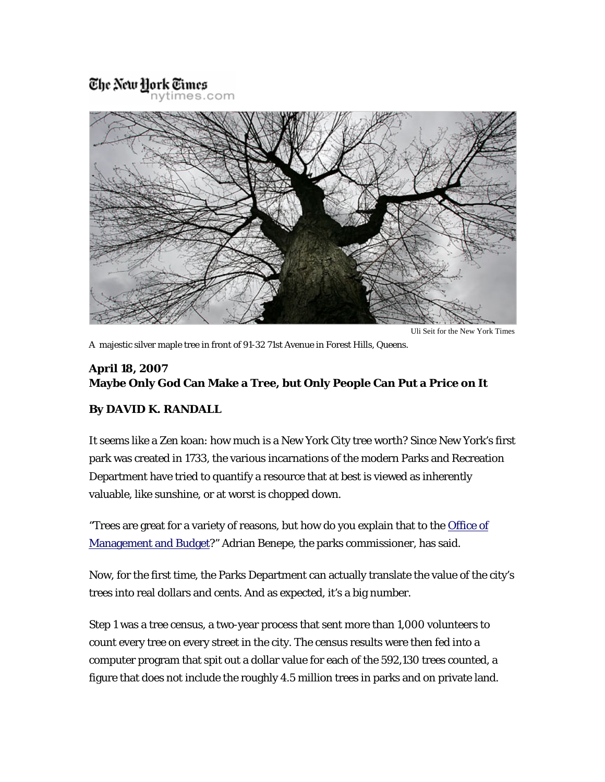## The New Hork Times



Uli Seit for the New York Times

A majestic silver maple tree in front of 91-32 71st Avenue in Forest Hills, Queens.

## **April 18, 2007 Maybe Only God Can Make a Tree, but Only People Can Put a Price on It**

## **By DAVID K. RANDALL**

It seems like a Zen koan: how much is a New York City tree worth? Since New York's first park was created in 1733, the various incarnations of the modern Parks and Recreation Department have tried to quantify a resource that at best is viewed as inherently valuable, like sunshine, or at worst is chopped down.

"Trees are great for a variety of reasons, but how do you explain that to the Office of Management and Budget?" Adrian Benepe, the parks commissioner, has said.

Now, for the first time, the Parks Department can actually translate the value of the city's trees into real dollars and cents. And as expected, it's a big number.

Step 1 was a tree census, a two-year process that sent more than 1,000 volunteers to count every tree on every street in the city. The census results were then fed into a computer program that spit out a dollar value for each of the 592,130 trees counted, a figure that does not include the roughly 4.5 million trees in parks and on private land.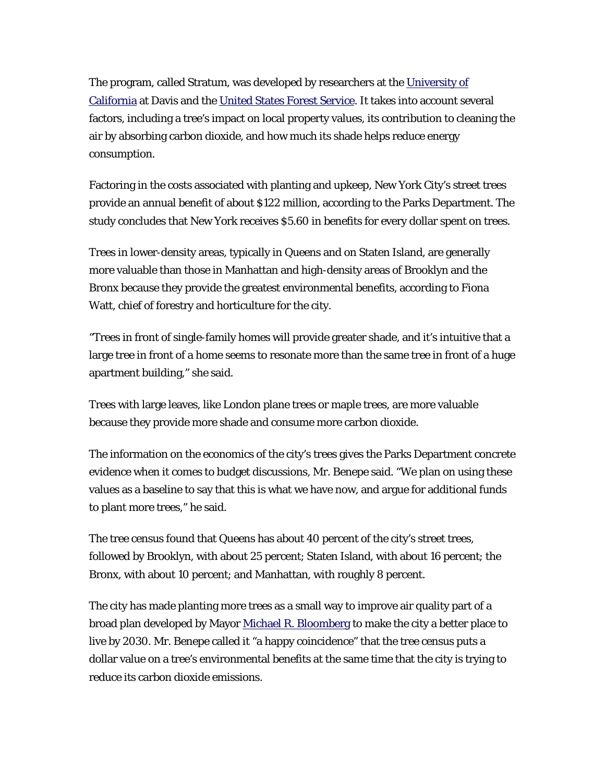The program, called Stratum, was developed by researchers at the University of California at Davis and the United States Forest Service. It takes into account several factors, including a tree's impact on local property values, its contribution to cleaning the air by absorbing carbon dioxide, and how much its shade helps reduce energy consumption.

Factoring in the costs associated with planting and upkeep, New York City's street trees provide an annual benefit of about \$122 million, according to the Parks Department. The study concludes that New York receives \$5.60 in benefits for every dollar spent on trees.

Trees in lower-density areas, typically in Queens and on Staten Island, are generally more valuable than those in Manhattan and high-density areas of Brooklyn and the Bronx because they provide the greatest environmental benefits, according to Fiona Watt, chief of forestry and horticulture for the city.

"Trees in front of single-family homes will provide greater shade, and it's intuitive that a large tree in front of a home seems to resonate more than the same tree in front of a huge apartment building," she said.

Trees with large leaves, like London plane trees or maple trees, are more valuable because they provide more shade and consume more carbon dioxide.

The information on the economics of the city's trees gives the Parks Department concrete evidence when it comes to budget discussions, Mr. Benepe said. "We plan on using these values as a baseline to say that this is what we have now, and argue for additional funds to plant more trees," he said.

The tree census found that Queens has about 40 percent of the city's street trees, followed by Brooklyn, with about 25 percent; Staten Island, with about 16 percent; the Bronx, with about 10 percent; and Manhattan, with roughly 8 percent.

The city has made planting more trees as a small way to improve air quality part of a broad plan developed by Mayor Michael R. Bloomberg to make the city a better place to live by 2030. Mr. Benepe called it "a happy coincidence" that the tree census puts a dollar value on a tree's environmental benefits at the same time that the city is trying to reduce its carbon dioxide emissions.